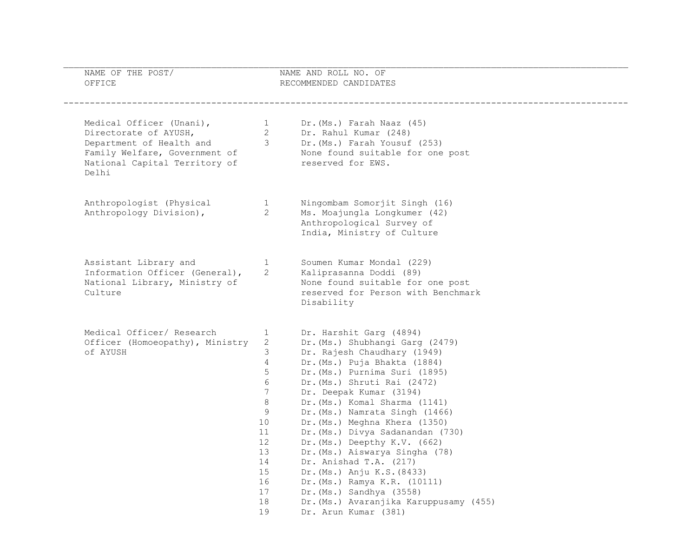| NAME OF THE POST/<br>OFFICE                                                                                                                                |                                                                                                                                      | NAME AND ROLL NO. OF<br>RECOMMENDED CANDIDATES                                                                                                                                                                                                                                                                                                                                                                                                                                                                                                                                               |  |
|------------------------------------------------------------------------------------------------------------------------------------------------------------|--------------------------------------------------------------------------------------------------------------------------------------|----------------------------------------------------------------------------------------------------------------------------------------------------------------------------------------------------------------------------------------------------------------------------------------------------------------------------------------------------------------------------------------------------------------------------------------------------------------------------------------------------------------------------------------------------------------------------------------------|--|
| Medical Officer (Unani),<br>Directorate of AYUSH,<br>Department of Health and 3<br>Family Welfare, Government of<br>National Capital Territory of<br>Delhi | $\overline{1}$<br>$\overline{2}$                                                                                                     | Dr. (Ms.) Farah Naaz (45)<br>Dr. Rahul Kumar (248)<br>Dr. (Ms.) Farah Yousuf (253)<br>None found suitable for one post<br>None found surtab.<br>reserved for EWS.                                                                                                                                                                                                                                                                                                                                                                                                                            |  |
| Anthropologist (Physical<br>Anthropology Division),                                                                                                        | $\mathbf{1}$<br>$\overline{2}$                                                                                                       | Ningombam Somorjit Singh (16)<br>Ms. Moajungla Longkumer (42)<br>Anthropological Survey of<br>India, Ministry of Culture                                                                                                                                                                                                                                                                                                                                                                                                                                                                     |  |
| Assistant Library and<br>Information Officer (General),<br>National Library, Ministry of<br>Culture                                                        | $\mathbf{1}$<br>2                                                                                                                    | Soumen Kumar Mondal (229)<br>Kaliprasanna Doddi (89)<br>None found suitable for one post<br>reserved for Person with Benchmark<br>Disability                                                                                                                                                                                                                                                                                                                                                                                                                                                 |  |
| Medical Officer/ Research<br>Officer (Homoeopathy), Ministry<br>of AYUSH                                                                                   | $\mathbf{1}$<br>2<br>3<br>$\overline{4}$<br>5<br>6<br>7<br>8<br>9<br>10<br>11<br>12 <sup>°</sup><br>13<br>14<br>15<br>16<br>17<br>18 | Dr. Harshit Garg (4894)<br>Dr. (Ms.) Shubhangi Garg (2479)<br>Dr. Rajesh Chaudhary (1949)<br>Dr. (Ms.) Puja Bhakta (1884)<br>Dr. (Ms.) Purnima Suri (1895)<br>Dr. (Ms.) Shruti Rai (2472)<br>Dr. Deepak Kumar (3194)<br>Dr. (Ms.) Komal Sharma (1141)<br>Dr. (Ms.) Namrata Singh (1466)<br>Dr. (Ms.) Meghna Khera (1350)<br>Dr. (Ms.) Divya Sadanandan (730)<br>Dr. (Ms.) Deepthy K.V. (662)<br>Dr. (Ms.) Aiswarya Singha (78)<br>Dr. Anishad T.A. (217)<br>Dr. (Ms.) Anju K.S. (8433)<br>Dr. (Ms.) Ramya K.R. (10111)<br>Dr. (Ms.) Sandhya (3558)<br>Dr. (Ms.) Avaranjika Karuppusamy (455) |  |